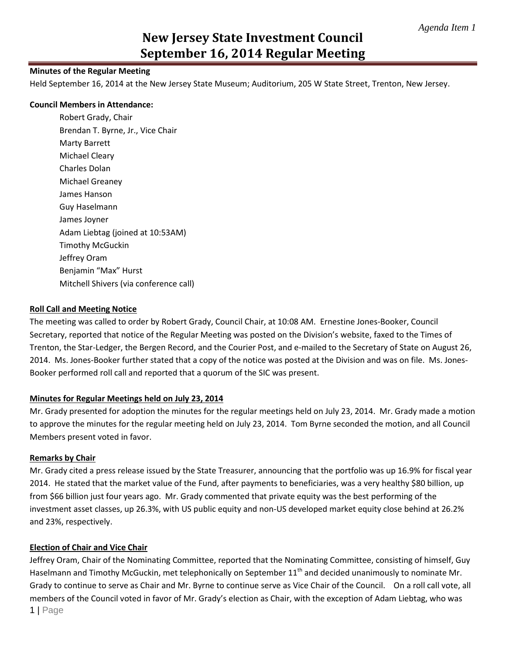#### **Minutes of the Regular Meeting**

Held September 16, 2014 at the New Jersey State Museum; Auditorium, 205 W State Street, Trenton, New Jersey.

#### **Council Members in Attendance:**

Robert Grady, Chair Brendan T. Byrne, Jr., Vice Chair Marty Barrett Michael Cleary Charles Dolan Michael Greaney James Hanson Guy Haselmann James Joyner Adam Liebtag (joined at 10:53AM) Timothy McGuckin Jeffrey Oram Benjamin "Max" Hurst Mitchell Shivers (via conference call)

#### **Roll Call and Meeting Notice**

The meeting was called to order by Robert Grady, Council Chair, at 10:08 AM. Ernestine Jones-Booker, Council Secretary, reported that notice of the Regular Meeting was posted on the Division's website, faxed to the Times of Trenton, the Star-Ledger, the Bergen Record, and the Courier Post, and e-mailed to the Secretary of State on August 26, 2014. Ms. Jones-Booker further stated that a copy of the notice was posted at the Division and was on file. Ms. Jones-Booker performed roll call and reported that a quorum of the SIC was present.

## **Minutes for Regular Meetings held on July 23, 2014**

Mr. Grady presented for adoption the minutes for the regular meetings held on July 23, 2014. Mr. Grady made a motion to approve the minutes for the regular meeting held on July 23, 2014. Tom Byrne seconded the motion, and all Council Members present voted in favor.

#### **Remarks by Chair**

Mr. Grady cited a press release issued by the State Treasurer, announcing that the portfolio was up 16.9% for fiscal year 2014. He stated that the market value of the Fund, after payments to beneficiaries, was a very healthy \$80 billion, up from \$66 billion just four years ago. Mr. Grady commented that private equity was the best performing of the investment asset classes, up 26.3%, with US public equity and non-US developed market equity close behind at 26.2% and 23%, respectively.

## **Election of Chair and Vice Chair**

1 | Page Jeffrey Oram, Chair of the Nominating Committee, reported that the Nominating Committee, consisting of himself, Guy Haselmann and Timothy McGuckin, met telephonically on September 11<sup>th</sup> and decided unanimously to nominate Mr. Grady to continue to serve as Chair and Mr. Byrne to continue serve as Vice Chair of the Council. On a roll call vote, all members of the Council voted in favor of Mr. Grady's election as Chair, with the exception of Adam Liebtag, who was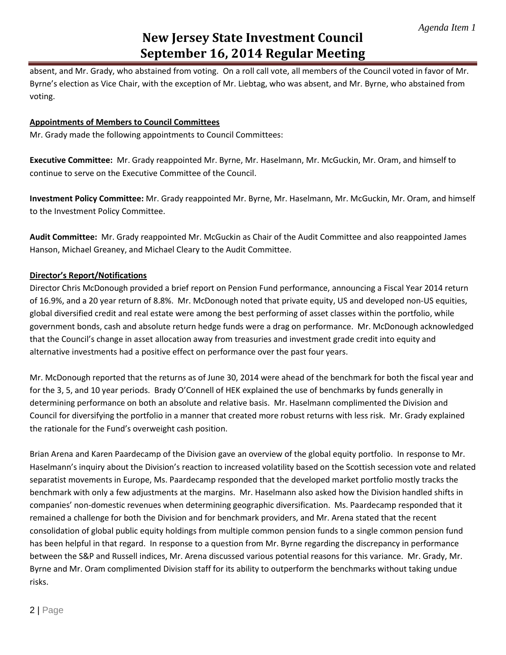absent, and Mr. Grady, who abstained from voting. On a roll call vote, all members of the Council voted in favor of Mr. Byrne's election as Vice Chair, with the exception of Mr. Liebtag, who was absent, and Mr. Byrne, who abstained from voting.

# **Appointments of Members to Council Committees**

Mr. Grady made the following appointments to Council Committees:

**Executive Committee:** Mr. Grady reappointed Mr. Byrne, Mr. Haselmann, Mr. McGuckin, Mr. Oram, and himself to continue to serve on the Executive Committee of the Council.

**Investment Policy Committee:** Mr. Grady reappointed Mr. Byrne, Mr. Haselmann, Mr. McGuckin, Mr. Oram, and himself to the Investment Policy Committee.

**Audit Committee:** Mr. Grady reappointed Mr. McGuckin as Chair of the Audit Committee and also reappointed James Hanson, Michael Greaney, and Michael Cleary to the Audit Committee.

## **Director's Report/Notifications**

Director Chris McDonough provided a brief report on Pension Fund performance, announcing a Fiscal Year 2014 return of 16.9%, and a 20 year return of 8.8%. Mr. McDonough noted that private equity, US and developed non-US equities, global diversified credit and real estate were among the best performing of asset classes within the portfolio, while government bonds, cash and absolute return hedge funds were a drag on performance. Mr. McDonough acknowledged that the Council's change in asset allocation away from treasuries and investment grade credit into equity and alternative investments had a positive effect on performance over the past four years.

Mr. McDonough reported that the returns as of June 30, 2014 were ahead of the benchmark for both the fiscal year and for the 3, 5, and 10 year periods. Brady O'Connell of HEK explained the use of benchmarks by funds generally in determining performance on both an absolute and relative basis. Mr. Haselmann complimented the Division and Council for diversifying the portfolio in a manner that created more robust returns with less risk. Mr. Grady explained the rationale for the Fund's overweight cash position.

Brian Arena and Karen Paardecamp of the Division gave an overview of the global equity portfolio. In response to Mr. Haselmann's inquiry about the Division's reaction to increased volatility based on the Scottish secession vote and related separatist movements in Europe, Ms. Paardecamp responded that the developed market portfolio mostly tracks the benchmark with only a few adjustments at the margins. Mr. Haselmann also asked how the Division handled shifts in companies' non-domestic revenues when determining geographic diversification. Ms. Paardecamp responded that it remained a challenge for both the Division and for benchmark providers, and Mr. Arena stated that the recent consolidation of global public equity holdings from multiple common pension funds to a single common pension fund has been helpful in that regard. In response to a question from Mr. Byrne regarding the discrepancy in performance between the S&P and Russell indices, Mr. Arena discussed various potential reasons for this variance. Mr. Grady, Mr. Byrne and Mr. Oram complimented Division staff for its ability to outperform the benchmarks without taking undue risks.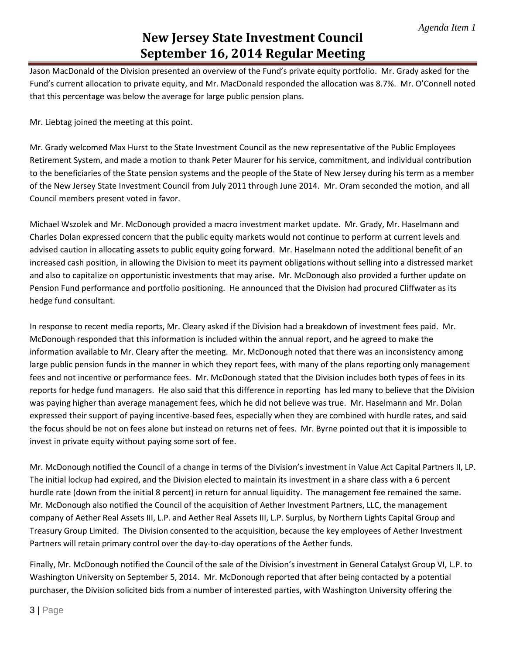Jason MacDonald of the Division presented an overview of the Fund's private equity portfolio. Mr. Grady asked for the Fund's current allocation to private equity, and Mr. MacDonald responded the allocation was 8.7%. Mr. O'Connell noted that this percentage was below the average for large public pension plans.

Mr. Liebtag joined the meeting at this point.

Mr. Grady welcomed Max Hurst to the State Investment Council as the new representative of the Public Employees Retirement System, and made a motion to thank Peter Maurer for his service, commitment, and individual contribution to the beneficiaries of the State pension systems and the people of the State of New Jersey during his term as a member of the New Jersey State Investment Council from July 2011 through June 2014. Mr. Oram seconded the motion, and all Council members present voted in favor.

Michael Wszolek and Mr. McDonough provided a macro investment market update. Mr. Grady, Mr. Haselmann and Charles Dolan expressed concern that the public equity markets would not continue to perform at current levels and advised caution in allocating assets to public equity going forward. Mr. Haselmann noted the additional benefit of an increased cash position, in allowing the Division to meet its payment obligations without selling into a distressed market and also to capitalize on opportunistic investments that may arise. Mr. McDonough also provided a further update on Pension Fund performance and portfolio positioning. He announced that the Division had procured Cliffwater as its hedge fund consultant.

In response to recent media reports, Mr. Cleary asked if the Division had a breakdown of investment fees paid. Mr. McDonough responded that this information is included within the annual report, and he agreed to make the information available to Mr. Cleary after the meeting. Mr. McDonough noted that there was an inconsistency among large public pension funds in the manner in which they report fees, with many of the plans reporting only management fees and not incentive or performance fees. Mr. McDonough stated that the Division includes both types of fees in its reports for hedge fund managers. He also said that this difference in reporting has led many to believe that the Division was paying higher than average management fees, which he did not believe was true. Mr. Haselmann and Mr. Dolan expressed their support of paying incentive-based fees, especially when they are combined with hurdle rates, and said the focus should be not on fees alone but instead on returns net of fees. Mr. Byrne pointed out that it is impossible to invest in private equity without paying some sort of fee.

Mr. McDonough notified the Council of a change in terms of the Division's investment in Value Act Capital Partners II, LP. The initial lockup had expired, and the Division elected to maintain its investment in a share class with a 6 percent hurdle rate (down from the initial 8 percent) in return for annual liquidity. The management fee remained the same. Mr. McDonough also notified the Council of the acquisition of Aether Investment Partners, LLC, the management company of Aether Real Assets III, L.P. and Aether Real Assets III, L.P. Surplus, by Northern Lights Capital Group and Treasury Group Limited. The Division consented to the acquisition, because the key employees of Aether Investment Partners will retain primary control over the day-to-day operations of the Aether funds.

Finally, Mr. McDonough notified the Council of the sale of the Division's investment in General Catalyst Group VI, L.P. to Washington University on September 5, 2014. Mr. McDonough reported that after being contacted by a potential purchaser, the Division solicited bids from a number of interested parties, with Washington University offering the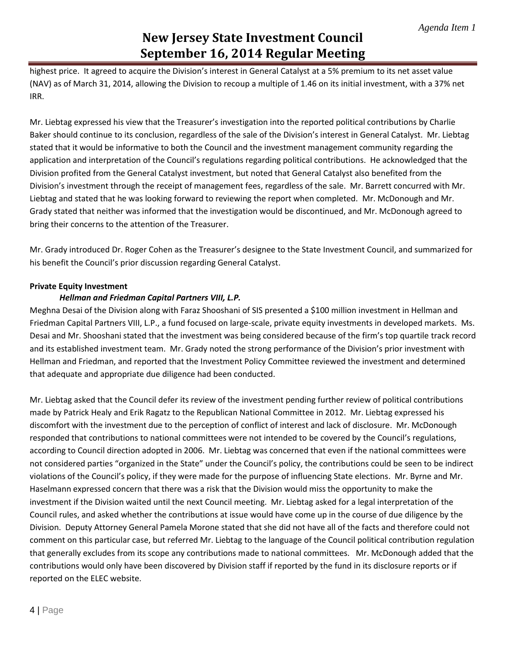highest price. It agreed to acquire the Division's interest in General Catalyst at a 5% premium to its net asset value (NAV) as of March 31, 2014, allowing the Division to recoup a multiple of 1.46 on its initial investment, with a 37% net IRR.

Mr. Liebtag expressed his view that the Treasurer's investigation into the reported political contributions by Charlie Baker should continue to its conclusion, regardless of the sale of the Division's interest in General Catalyst. Mr. Liebtag stated that it would be informative to both the Council and the investment management community regarding the application and interpretation of the Council's regulations regarding political contributions. He acknowledged that the Division profited from the General Catalyst investment, but noted that General Catalyst also benefited from the Division's investment through the receipt of management fees, regardless of the sale. Mr. Barrett concurred with Mr. Liebtag and stated that he was looking forward to reviewing the report when completed. Mr. McDonough and Mr. Grady stated that neither was informed that the investigation would be discontinued, and Mr. McDonough agreed to bring their concerns to the attention of the Treasurer.

Mr. Grady introduced Dr. Roger Cohen as the Treasurer's designee to the State Investment Council, and summarized for his benefit the Council's prior discussion regarding General Catalyst.

# **Private Equity Investment**

# *Hellman and Friedman Capital Partners VIII, L.P.*

Meghna Desai of the Division along with Faraz Shooshani of SIS presented a \$100 million investment in Hellman and Friedman Capital Partners VIII, L.P., a fund focused on large-scale, private equity investments in developed markets. Ms. Desai and Mr. Shooshani stated that the investment was being considered because of the firm's top quartile track record and its established investment team. Mr. Grady noted the strong performance of the Division's prior investment with Hellman and Friedman, and reported that the Investment Policy Committee reviewed the investment and determined that adequate and appropriate due diligence had been conducted.

Mr. Liebtag asked that the Council defer its review of the investment pending further review of political contributions made by Patrick Healy and Erik Ragatz to the Republican National Committee in 2012. Mr. Liebtag expressed his discomfort with the investment due to the perception of conflict of interest and lack of disclosure. Mr. McDonough responded that contributions to national committees were not intended to be covered by the Council's regulations, according to Council direction adopted in 2006. Mr. Liebtag was concerned that even if the national committees were not considered parties "organized in the State" under the Council's policy, the contributions could be seen to be indirect violations of the Council's policy, if they were made for the purpose of influencing State elections. Mr. Byrne and Mr. Haselmann expressed concern that there was a risk that the Division would miss the opportunity to make the investment if the Division waited until the next Council meeting. Mr. Liebtag asked for a legal interpretation of the Council rules, and asked whether the contributions at issue would have come up in the course of due diligence by the Division. Deputy Attorney General Pamela Morone stated that she did not have all of the facts and therefore could not comment on this particular case, but referred Mr. Liebtag to the language of the Council political contribution regulation that generally excludes from its scope any contributions made to national committees. Mr. McDonough added that the contributions would only have been discovered by Division staff if reported by the fund in its disclosure reports or if reported on the ELEC website.